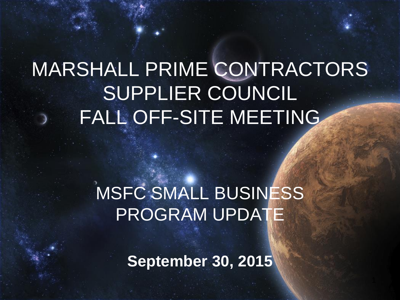# MARSHALL PRIME CONTRACTORS SUPPLIER COUNCIL FALL OFF-SITE MEETING

# MSFC SMALL BUSINESS PROGRAM UPDATE

**September 30, 2015**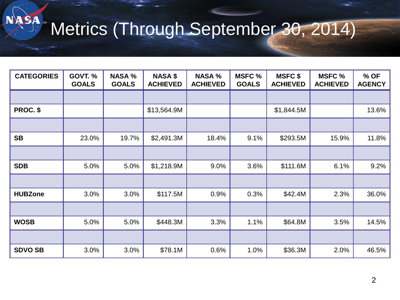# Metrics (Through September 30, 2014)

NASA

| <b>CATEGORIES</b> | <b>GOVT. %</b><br><b>GOALS</b> | <b>NASA %</b><br><b>GOALS</b> | <b>NASA \$</b><br><b>ACHIEVED</b> | <b>NASA %</b><br><b>ACHIEVED</b> | <b>MSFC %</b><br><b>GOALS</b> | <b>MSFC \$</b><br><b>ACHIEVED</b> | <b>MSFC %</b><br><b>ACHIEVED</b> | % OF<br><b>AGENCY</b> |
|-------------------|--------------------------------|-------------------------------|-----------------------------------|----------------------------------|-------------------------------|-----------------------------------|----------------------------------|-----------------------|
|                   |                                |                               |                                   |                                  |                               |                                   |                                  |                       |
| PROC. \$          |                                |                               | \$13,564.9M                       |                                  |                               | \$1,844.5M                        |                                  | 13.6%                 |
|                   |                                |                               |                                   |                                  |                               |                                   |                                  |                       |
| <b>SB</b>         | 23.0%                          | 19.7%                         | \$2,491.3M                        | 18.4%                            | 9.1%                          | \$293.5M                          | 15.9%                            | 11.8%                 |
|                   |                                |                               |                                   |                                  |                               |                                   |                                  |                       |
| <b>SDB</b>        | 5.0%                           | 5.0%                          | \$1,218.9M                        | 9.0%                             | 3.6%                          | \$111.6M                          | 6.1%                             | 9.2%                  |
|                   |                                |                               |                                   |                                  |                               |                                   |                                  |                       |
| <b>HUBZone</b>    | 3.0%                           | 3.0%                          | \$117.5M                          | 0.9%                             | 0.3%                          | \$42.4M                           | 2.3%                             | 36.0%                 |
|                   |                                |                               |                                   |                                  |                               |                                   |                                  |                       |
| <b>WOSB</b>       | 5.0%                           | 5.0%                          | \$448.3M                          | 3.3%                             | 1.1%                          | \$64.8M                           | 3.5%                             | 14.5%                 |
|                   |                                |                               |                                   |                                  |                               |                                   |                                  |                       |
| <b>SDVO SB</b>    | 3.0%                           | 3.0%                          | \$78.1M                           | 0.6%                             | 1.0%                          | \$36.3M                           | 2.0%                             | 46.5%                 |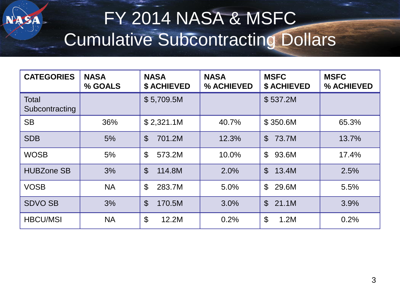## FY 2014 NASA & MSFC Cumulative Subcontracting Dollars

| <b>CATEGORIES</b>              | <b>NASA</b><br>% GOALS | <b>NASA</b><br><b>\$ ACHIEVED</b>  | <b>NASA</b><br>% ACHIEVED | <b>MSFC</b><br><b>\$ ACHIEVED</b> | <b>MSFC</b><br>% ACHIEVED |
|--------------------------------|------------------------|------------------------------------|---------------------------|-----------------------------------|---------------------------|
| <b>Total</b><br>Subcontracting |                        | \$5,709.5M                         |                           | \$537.2M                          |                           |
| <b>SB</b>                      | 36%                    | \$2,321.1M                         | 40.7%                     | \$350.6M                          | 65.3%                     |
| <b>SDB</b>                     | 5%                     | $\mathcal{S}$<br>701.2M            | 12.3%                     | $\mathbb{S}$<br>73.7M             | 13.7%                     |
| <b>WOSB</b>                    | 5%                     | $\mathfrak{S}$<br>573.2M           | 10.0%                     | $\mathfrak{L}$<br>93.6M           | 17.4%                     |
| <b>HUBZone SB</b>              | 3%                     | $\mathcal{S}$<br>114.8M            | 2.0%                      | $\mathbb{S}$<br>13.4M             | 2.5%                      |
| <b>VOSB</b>                    | <b>NA</b>              | $\mathfrak{L}$<br>283.7M           | 5.0%                      | $\mathbb{S}$<br>29.6M             | 5.5%                      |
| <b>SDVO SB</b>                 | 3%                     | $\mathfrak{S}$<br>170.5M           | 3.0%                      | $\mathbb{S}$<br>21.1M             | 3.9%                      |
| <b>HBCU/MSI</b>                | <b>NA</b>              | $\boldsymbol{\mathsf{S}}$<br>12.2M | 0.2%                      | $\mathcal{L}$<br>1.2M             | 0.2%                      |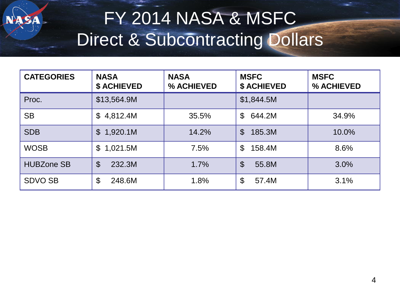

| <b>CATEGORIES</b> | <b>NASA</b><br><b>\$ ACHIEVED</b>   | <b>NASA</b><br>% ACHIEVED | <b>MSFC</b><br><b>\$ ACHIEVED</b> | <b>MSFC</b><br>% ACHIEVED |
|-------------------|-------------------------------------|---------------------------|-----------------------------------|---------------------------|
| Proc.             | \$13,564.9M                         |                           | \$1,844.5M                        |                           |
| <b>SB</b>         | \$4,812.4M                          | 35.5%                     | 644.2M<br>$\mathbb S$             | 34.9%                     |
| <b>SDB</b>        | \$1,920.1M                          | 14.2%                     | 185.3M<br>$\mathfrak{L}$          | 10.0%                     |
| <b>WOSB</b>       | 1,021.5M<br>$\mathbb S$             | 7.5%                      | $\mathfrak{L}$<br>158.4M          | 8.6%                      |
| <b>HUBZone SB</b> | 232.3M<br>$\boldsymbol{\mathsf{S}}$ | 1.7%                      | $\mathcal{S}$<br>55.8M            | 3.0%                      |
| <b>SDVO SB</b>    | \$<br>248.6M                        | 1.8%                      | \$<br>57.4M                       | 3.1%                      |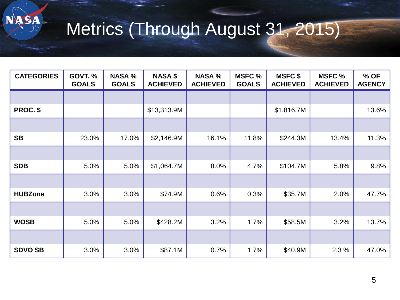

# Metrics (Through August 31, 2015)

| <b>CATEGORIES</b> | <b>GOVT. %</b><br><b>GOALS</b> | <b>NASA %</b><br><b>GOALS</b> | <b>NASA \$</b><br><b>ACHIEVED</b> | <b>NASA %</b><br><b>ACHIEVED</b> | <b>MSFC %</b><br><b>GOALS</b> | <b>MSFC \$</b><br><b>ACHIEVED</b> | <b>MSFC %</b><br><b>ACHIEVED</b> | % OF<br><b>AGENCY</b> |
|-------------------|--------------------------------|-------------------------------|-----------------------------------|----------------------------------|-------------------------------|-----------------------------------|----------------------------------|-----------------------|
|                   |                                |                               |                                   |                                  |                               |                                   |                                  |                       |
| PROC. \$          |                                |                               | \$13,313.9M                       |                                  |                               | \$1,816.7M                        |                                  | 13.6%                 |
|                   |                                |                               |                                   |                                  |                               |                                   |                                  |                       |
| <b>SB</b>         | 23.0%                          | 17.0%                         | \$2,146.9M                        | 16.1%                            | 11.8%                         | \$244.3M                          | 13.4%                            | 11.3%                 |
|                   |                                |                               |                                   |                                  |                               |                                   |                                  |                       |
| <b>SDB</b>        | 5.0%                           | 5.0%                          | \$1,064.7M                        | 8.0%                             | 4.7%                          | \$104.7M                          | 5.8%                             | 9.8%                  |
|                   |                                |                               |                                   |                                  |                               |                                   |                                  |                       |
| <b>HUBZone</b>    | 3.0%                           | 3.0%                          | \$74.9M                           | 0.6%                             | 0.3%                          | \$35.7M                           | 2.0%                             | 47.7%                 |
|                   |                                |                               |                                   |                                  |                               |                                   |                                  |                       |
| <b>WOSB</b>       | 5.0%                           | 5.0%                          | \$428.2M                          | 3.2%                             | 1.7%                          | \$58.5M                           | 3.2%                             | 13.7%                 |
|                   |                                |                               |                                   |                                  |                               |                                   |                                  |                       |
| <b>SDVO SB</b>    | 3.0%                           | 3.0%                          | \$87.1M                           | 0.7%                             | 1.7%                          | \$40.9M                           | 2.3 %                            | 47.0%                 |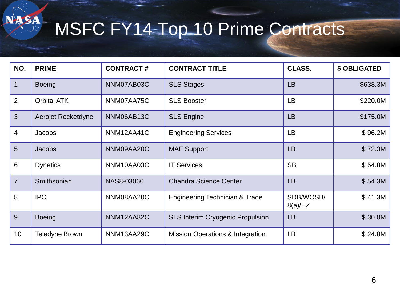# MSFC FY14 Top 10 Prime Contracts

NASA

| NO.            | <b>PRIME</b>          | <b>CONTRACT#</b> | <b>CONTRACT TITLE</b>                       | <b>CLASS.</b>        | <b>\$ OBLIGATED</b> |
|----------------|-----------------------|------------------|---------------------------------------------|----------------------|---------------------|
| $\mathbf 1$    | <b>Boeing</b>         | NNM07AB03C       | <b>SLS Stages</b>                           | <b>LB</b>            | \$638.3M            |
| 2              | <b>Orbital ATK</b>    | NNM07AA75C       | <b>SLS Booster</b>                          | LB                   | \$220.0M            |
| $\mathbf{3}$   | Aerojet Rocketdyne    | NNM06AB13C       | <b>SLS Engine</b>                           | <b>LB</b>            | \$175.0M            |
| $\overline{4}$ | <b>Jacobs</b>         | NNM12AA41C       | <b>Engineering Services</b>                 | LB                   | \$96.2M             |
| $5\phantom{1}$ | Jacobs                | NNM09AA20C       | <b>MAF Support</b>                          | <b>LB</b>            | \$72.3M             |
| 6              | <b>Dynetics</b>       | NNM10AA03C       | <b>IT Services</b>                          | <b>SB</b>            | \$54.8M             |
| $\overline{7}$ | Smithsonian           | NAS8-03060       | <b>Chandra Science Center</b>               | <b>LB</b>            | \$54.3M             |
| 8              | <b>IPC</b>            | NNM08AA20C       | Engineering Technician & Trade              | SDB/WOSB/<br>8(a)/HZ | \$41.3M             |
| 9              | <b>Boeing</b>         | NNM12AA82C       | <b>SLS Interim Cryogenic Propulsion</b>     | <b>LB</b>            | \$30.0M             |
| 10             | <b>Teledyne Brown</b> | NNM13AA29C       | <b>Mission Operations &amp; Integration</b> | LB                   | \$24.8M             |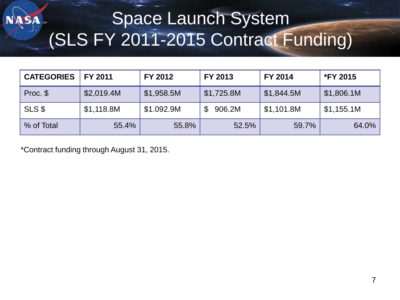### Space Launch System (SLS FY 2011-2015 Contract Funding)

| <b>CATEGORIES</b> | FY 2011    | FY 2012    | FY 2013    | <b>FY 2014</b> | <b>*FY 2015</b> |
|-------------------|------------|------------|------------|----------------|-----------------|
| Proc. \$          | \$2,019.4M | \$1,958.5M | \$1,725.8M | \$1,844.5M     | \$1,806.1M      |
| SLS \$            | \$1,118.8M | \$1.092.9M | 906.2M     | \$1,101.8M     | \$1,155.1M      |
| % of Total        | 55.4%      | 55.8%      | 52.5%      | 59.7%          | 64.0%           |

\*Contract funding through August 31, 2015.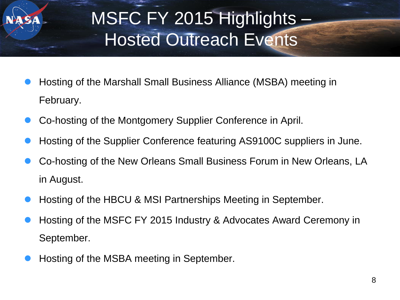

# MSFC FY 2015 Highlights – Hosted Outreach Events

- Hosting of the Marshall Small Business Alliance (MSBA) meeting in February.
- Co-hosting of the Montgomery Supplier Conference in April.
- Hosting of the Supplier Conference featuring AS9100C suppliers in June.
- Co-hosting of the New Orleans Small Business Forum in New Orleans, LA in August.
- Hosting of the HBCU & MSI Partnerships Meeting in September.
- Hosting of the MSFC FY 2015 Industry & Advocates Award Ceremony in September.
- Hosting of the MSBA meeting in September.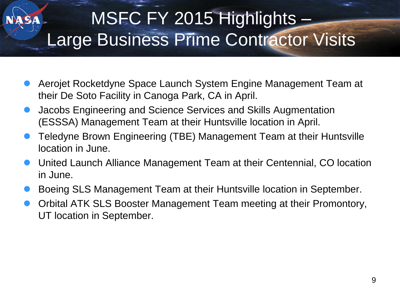### MSFC FY 2015 Highlights – Large Business Prime Contractor Visits

- Aerojet Rocketdyne Space Launch System Engine Management Team at their De Soto Facility in Canoga Park, CA in April.
- Jacobs Engineering and Science Services and Skills Augmentation (ESSSA) Management Team at their Huntsville location in April.
- Teledyne Brown Engineering (TBE) Management Team at their Huntsville location in June.
- United Launch Alliance Management Team at their Centennial, CO location in June.
- Boeing SLS Management Team at their Huntsville location in September.
- Orbital ATK SLS Booster Management Team meeting at their Promontory, UT location in September.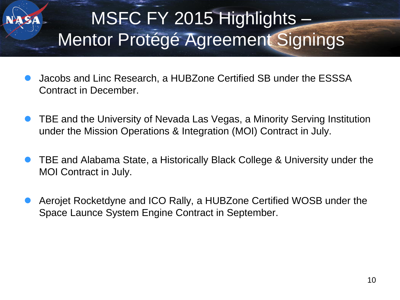# MSFC FY 2015 Highlights – Mentor Protégé Agreement Signings

- Jacobs and Linc Research, a HUBZone Certified SB under the ESSSA Contract in December.
- TBE and the University of Nevada Las Vegas, a Minority Serving Institution under the Mission Operations & Integration (MOI) Contract in July.
- TBE and Alabama State, a Historically Black College & University under the MOI Contract in July.
- Aerojet Rocketdyne and ICO Rally, a HUBZone Certified WOSB under the Space Launce System Engine Contract in September.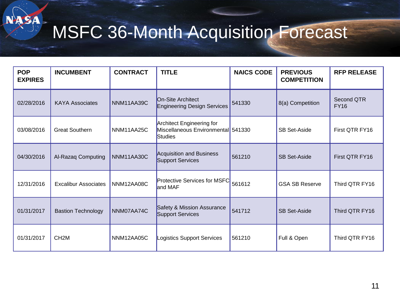# MSFC 36-Month Acquisition Forecast

NASA

| <b>POP</b><br><b>EXPIRES</b> | <b>INCUMBENT</b>            | <b>CONTRACT</b> | <b>TITLE</b>                                                               | <b>NAICS CODE</b> | <b>PREVIOUS</b><br><b>COMPETITION</b> | <b>RFP RELEASE</b>        |
|------------------------------|-----------------------------|-----------------|----------------------------------------------------------------------------|-------------------|---------------------------------------|---------------------------|
| 02/28/2016                   | <b>KAYA Associates</b>      | NNM11AA39C      | On-Site Architect<br><b>Engineering Design Services</b>                    | 541330            | 8(a) Competition                      | Second QTR<br><b>FY16</b> |
| 03/08/2016                   | <b>Great Southern</b>       | NNM11AA25C      | Architect Engineering for<br>Miscellaneous Environmental 541330<br>Studies |                   | <b>SB Set-Aside</b>                   | First QTR FY16            |
| 04/30/2016                   | Al-Razaq Computing          | NNM11AA30C      | Acquisition and Business<br>Support Services                               | 561210            | <b>SB Set-Aside</b>                   | First QTR FY16            |
| 12/31/2016                   | <b>Excalibur Associates</b> | NNM12AA08C      | Protective Services for MSFC<br>and MAF                                    | 561612            | <b>GSA SB Reserve</b>                 | Third QTR FY16            |
| 01/31/2017                   | <b>Bastion Technology</b>   | NNM07AA74C      | Safety & Mission Assurance<br>Support Services                             | 541712            | <b>SB Set-Aside</b>                   | Third QTR FY16            |
| 01/31/2017                   | CH <sub>2</sub> M           | NNM12AA05C      | Logistics Support Services                                                 | 561210            | Full & Open                           | Third QTR FY16            |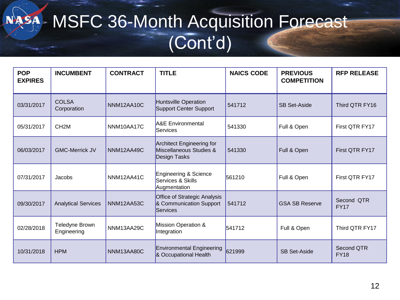#### MSFC 36-Month Acquisition Forecast NASA  $\blacktriangleright$ (Cont'd)

| <b>POP</b><br><b>EXPIRES</b> | <b>INCUMBENT</b>              | <b>CONTRACT</b> | <b>TITLE</b>                                                                | <b>NAICS CODE</b> | <b>PREVIOUS</b><br><b>COMPETITION</b> | <b>RFP RELEASE</b>        |
|------------------------------|-------------------------------|-----------------|-----------------------------------------------------------------------------|-------------------|---------------------------------------|---------------------------|
| 03/31/2017                   | <b>COLSA</b><br>Corporation   | NNM12AA10C      | Huntsville Operation<br>Support Center Support                              | 541712            | <b>SB Set-Aside</b>                   | Third QTR FY16            |
| 05/31/2017                   | CH <sub>2</sub> M             | NNM10AA17C      | <b>A&amp;E</b> Environmental<br>Services                                    | 541330            | Full & Open                           | First QTR FY17            |
| 06/03/2017                   | <b>GMC-Merrick JV</b>         | NNM12AA49C      | <b>Architect Engineering for</b><br>Miscellaneous Studies &<br>Design Tasks | 541330            | Full & Open                           | First QTR FY17            |
| 07/31/2017                   | Jacobs                        | NNM12AA41C      | Engineering & Science<br>Services & Skills<br>Augmentation                  | 561210            | Full & Open                           | First QTR FY17            |
| 09/30/2017                   | <b>Analytical Services</b>    | NNM12AA53C      | Office of Strategic Analysis<br>& Communication Support<br>Services         | 541712            | <b>GSA SB Reserve</b>                 | Second QTR<br><b>FY17</b> |
| 02/28/2018                   | Teledyne Brown<br>Engineering | NNM13AA29C      | Mission Operation &<br>Integration                                          | 541712            | Full & Open                           | Third QTR FY17            |
| 10/31/2018                   | <b>HPM</b>                    | NNM13AA80C      | <b>Environmental Engineering</b><br>& Occupational Health                   | 621999            | <b>SB Set-Aside</b>                   | Second QTR<br><b>FY18</b> |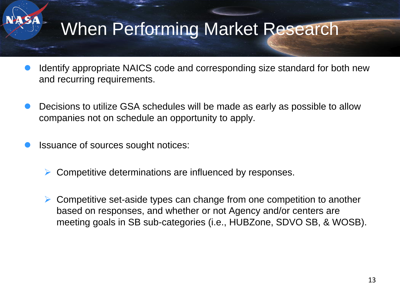# When Performing Market Research

- Identify appropriate NAICS code and corresponding size standard for both new and recurring requirements.
- Decisions to utilize GSA schedules will be made as early as possible to allow companies not on schedule an opportunity to apply.
- Issuance of sources sought notices:
	- Competitive determinations are influenced by responses.
	- ► Competitive set-aside types can change from one competition to another based on responses, and whether or not Agency and/or centers are meeting goals in SB sub-categories (i.e., HUBZone, SDVO SB, & WOSB).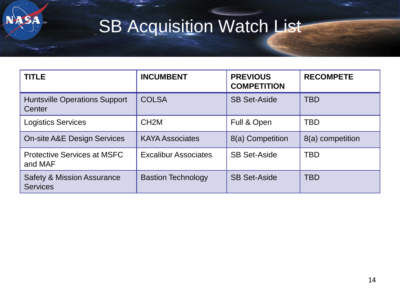

# **SB Acquisition Watch List**

| <b>TITLE</b>                                             | <b>INCUMBENT</b>            | <b>PREVIOUS</b><br><b>COMPETITION</b> | <b>RECOMPETE</b> |
|----------------------------------------------------------|-----------------------------|---------------------------------------|------------------|
| <b>Huntsville Operations Support</b><br>Center           | <b>COLSA</b>                | <b>SB Set-Aside</b>                   | <b>TBD</b>       |
| <b>Logistics Services</b>                                | CH <sub>2</sub> M           | Full & Open                           | <b>TBD</b>       |
| <b>On-site A&amp;E Design Services</b>                   | <b>KAYA Associates</b>      | 8(a) Competition                      | 8(a) competition |
| <b>Protective Services at MSFC</b><br>and MAF            | <b>Excalibur Associates</b> | <b>SB Set-Aside</b>                   | <b>TBD</b>       |
| <b>Safety &amp; Mission Assurance</b><br><b>Services</b> | <b>Bastion Technology</b>   | <b>SB Set-Aside</b>                   | <b>TBD</b>       |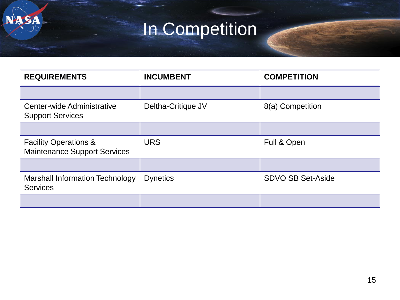# In Competition

**NASA** 

| <b>REQUIREMENTS</b>                                                     | <b>INCUMBENT</b>   | <b>COMPETITION</b>       |  |
|-------------------------------------------------------------------------|--------------------|--------------------------|--|
|                                                                         |                    |                          |  |
| Center-wide Administrative<br><b>Support Services</b>                   | Deltha-Critique JV | 8(a) Competition         |  |
|                                                                         |                    |                          |  |
| <b>Facility Operations &amp;</b><br><b>Maintenance Support Services</b> | <b>URS</b>         | Full & Open              |  |
|                                                                         |                    |                          |  |
| Marshall Information Technology<br><b>Services</b>                      | <b>Dynetics</b>    | <b>SDVO SB Set-Aside</b> |  |
|                                                                         |                    |                          |  |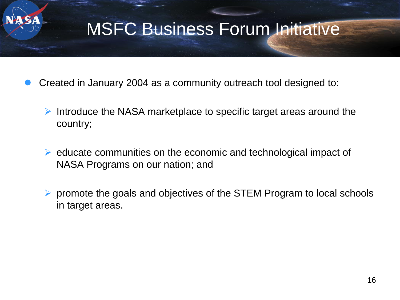#### MSFC Business Forum Initiative

- Created in January 2004 as a community outreach tool designed to:
	- $\triangleright$  Introduce the NASA marketplace to specific target areas around the country;
	- $\triangleright$  educate communities on the economic and technological impact of NASA Programs on our nation; and
	- $\triangleright$  promote the goals and objectives of the STEM Program to local schools in target areas.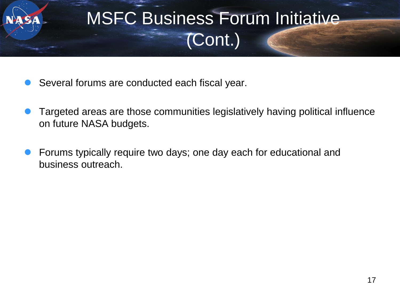

- Several forums are conducted each fiscal year.
- Targeted areas are those communities legislatively having political influence on future NASA budgets.
- Forums typically require two days; one day each for educational and business outreach.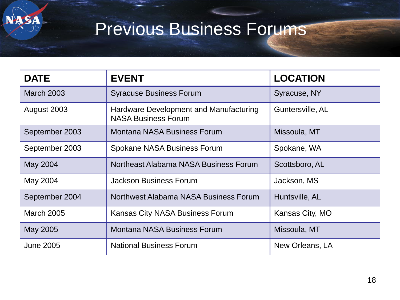

SA

| <b>DATE</b>       | <b>EVENT</b>                                                         | <b>LOCATION</b>  |
|-------------------|----------------------------------------------------------------------|------------------|
| <b>March 2003</b> | <b>Syracuse Business Forum</b>                                       | Syracuse, NY     |
| August 2003       | Hardware Development and Manufacturing<br><b>NASA Business Forum</b> | Guntersville, AL |
| September 2003    | <b>Montana NASA Business Forum</b>                                   | Missoula, MT     |
| September 2003    | <b>Spokane NASA Business Forum</b>                                   | Spokane, WA      |
| May 2004          | Northeast Alabama NASA Business Forum                                | Scottsboro, AL   |
| May 2004          | <b>Jackson Business Forum</b>                                        | Jackson, MS      |
| September 2004    | Northwest Alabama NASA Business Forum                                | Huntsville, AL   |
| <b>March 2005</b> | Kansas City NASA Business Forum                                      | Kansas City, MO  |
| May 2005          | <b>Montana NASA Business Forum</b>                                   | Missoula, MT     |
| <b>June 2005</b>  | <b>National Business Forum</b>                                       | New Orleans, LA  |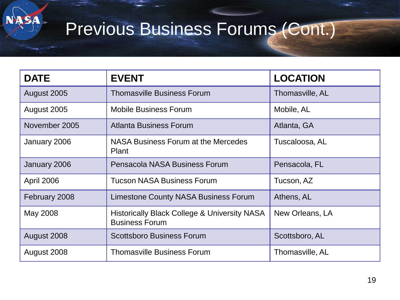# Previous Business Forums (Cont.)

ASA

| <b>DATE</b>   | <b>EVENT</b>                                                                     | <b>LOCATION</b> |
|---------------|----------------------------------------------------------------------------------|-----------------|
| August 2005   | <b>Thomasville Business Forum</b>                                                | Thomasville, AL |
| August 2005   | <b>Mobile Business Forum</b>                                                     | Mobile, AL      |
| November 2005 | Atlanta Business Forum                                                           | Atlanta, GA     |
| January 2006  | NASA Business Forum at the Mercedes<br>Plant                                     | Tuscaloosa, AL  |
| January 2006  | Pensacola NASA Business Forum                                                    | Pensacola, FL   |
| April 2006    | <b>Tucson NASA Business Forum</b>                                                | Tucson, AZ      |
| February 2008 | <b>Limestone County NASA Business Forum</b>                                      | Athens, AL      |
| May 2008      | <b>Historically Black College &amp; University NASA</b><br><b>Business Forum</b> | New Orleans, LA |
| August 2008   | <b>Scottsboro Business Forum</b>                                                 | Scottsboro, AL  |
| August 2008   | <b>Thomasville Business Forum</b>                                                | Thomasville, AL |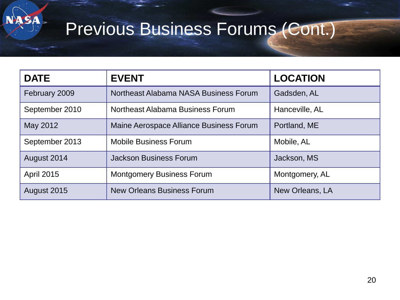### Previous Business Forums (Cont.)

**SA** 

| <b>DATE</b>       | <b>EVENT</b>                            | <b>LOCATION</b> |  |
|-------------------|-----------------------------------------|-----------------|--|
| February 2009     | Northeast Alabama NASA Business Forum   | Gadsden, AL     |  |
| September 2010    | Northeast Alabama Business Forum        | Hanceville, AL  |  |
| May 2012          | Maine Aerospace Alliance Business Forum | Portland, ME    |  |
| September 2013    | <b>Mobile Business Forum</b>            | Mobile, AL      |  |
| August 2014       | <b>Jackson Business Forum</b>           | Jackson, MS     |  |
| <b>April 2015</b> | <b>Montgomery Business Forum</b>        | Montgomery, AL  |  |
| August 2015       | <b>New Orleans Business Forum</b>       | New Orleans, LA |  |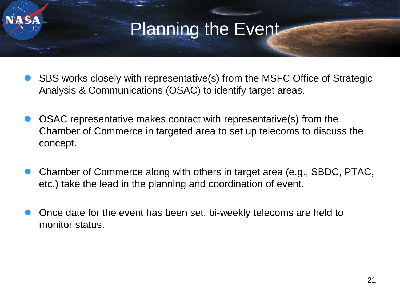#### Planning the Event

- SBS works closely with representative(s) from the MSFC Office of Strategic Analysis & Communications (OSAC) to identify target areas.
- OSAC representative makes contact with representative(s) from the Chamber of Commerce in targeted area to set up telecoms to discuss the concept.
- Chamber of Commerce along with others in target area (e.g., SBDC, PTAC, etc.) take the lead in the planning and coordination of event.
- Once date for the event has been set, bi-weekly telecoms are held to monitor status.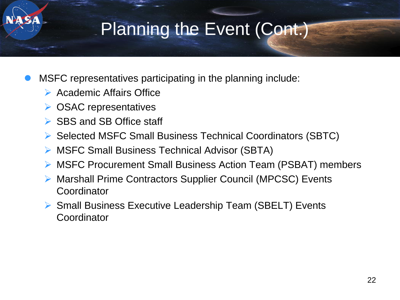# Planning the Event (Cont.)

- MSFC representatives participating in the planning include:
	- $\triangleright$  Academic Affairs Office
	- **▶ OSAC representatives**
	- ▶ SBS and SB Office staff
	- ▶ Selected MSFC Small Business Technical Coordinators (SBTC)
	- ▶ MSFC Small Business Technical Advisor (SBTA)
	- ▶ MSFC Procurement Small Business Action Team (PSBAT) members
	- ▶ Marshall Prime Contractors Supplier Council (MPCSC) Events **Coordinator**
	- ▶ Small Business Executive Leadership Team (SBELT) Events Coordinator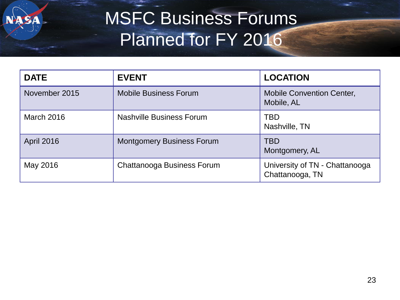

# MSFC Business Forums Planned for FY 2016

| <b>DATE</b>       | <b>EVENT</b>                      | <b>LOCATION</b>                                   |  |
|-------------------|-----------------------------------|---------------------------------------------------|--|
| November 2015     | <b>Mobile Business Forum</b>      | <b>Mobile Convention Center,</b><br>Mobile, AL    |  |
| <b>March 2016</b> | Nashville Business Forum          | TBD<br>Nashville, TN                              |  |
| <b>April 2016</b> | <b>Montgomery Business Forum</b>  | <b>TBD</b><br>Montgomery, AL                      |  |
| May 2016          | <b>Chattanooga Business Forum</b> | University of TN - Chattanooga<br>Chattanooga, TN |  |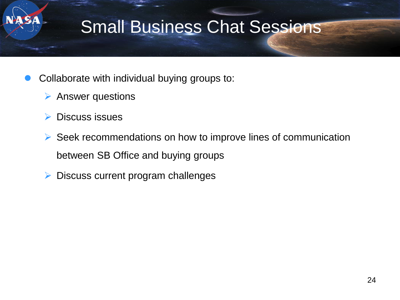# Small Business Chat Sessions

- Collaborate with individual buying groups to:
	- $\triangleright$  Answer questions
	- Discuss issues
	- $\triangleright$  Seek recommendations on how to improve lines of communication between SB Office and buying groups
	- $\triangleright$  Discuss current program challenges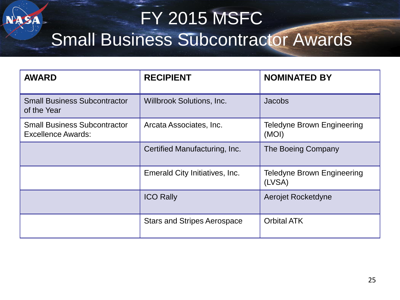# FY 2015 MSFC Small Business Subcontractor Awards

| <b>AWARD</b>                                                     | <b>RECIPIENT</b>                   | <b>NOMINATED BY</b>                         |  |
|------------------------------------------------------------------|------------------------------------|---------------------------------------------|--|
| <b>Small Business Subcontractor</b><br>of the Year               | <b>Willbrook Solutions, Inc.</b>   | <b>Jacobs</b>                               |  |
| <b>Small Business Subcontractor</b><br><b>Excellence Awards:</b> | Arcata Associates, Inc.            | <b>Teledyne Brown Engineering</b><br>(MOI)  |  |
|                                                                  | Certified Manufacturing, Inc.      | The Boeing Company                          |  |
|                                                                  | Emerald City Initiatives, Inc.     | <b>Teledyne Brown Engineering</b><br>(LVSA) |  |
|                                                                  | <b>ICO Rally</b>                   | Aerojet Rocketdyne                          |  |
|                                                                  | <b>Stars and Stripes Aerospace</b> | <b>Orbital ATK</b>                          |  |